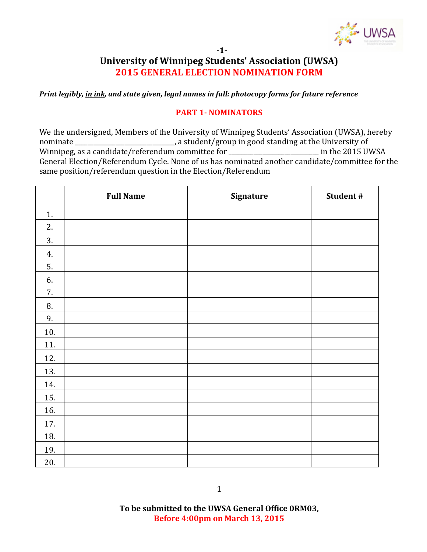

#### **-1-**

## **University of Winnipeg Students' Association (UWSA) 2015 GENERAL ELECTION NOMINATION FORM**

*Print legibly, in ink, and state given, legal names in full: photocopy forms for future reference* 

#### **PART 1- NOMINATORS**

We the undersigned, Members of the University of Winnipeg Students' Association (UWSA), hereby nominate \_\_\_\_\_\_\_\_\_\_\_\_\_\_\_\_\_\_\_\_\_\_\_\_\_\_\_, a student/group in good standing at the University of Winnipeg, as a candidate/referendum committee for \_\_\_\_\_\_\_\_\_\_\_\_\_\_\_\_\_\_\_\_\_\_\_\_\_\_\_\_\_\_ in the 2015 UWSA General Election/Referendum Cycle. None of us has nominated another candidate/committee for the same position/referendum question in the Election/Referendum

|     | <b>Full Name</b> | Signature | Student# |
|-----|------------------|-----------|----------|
| 1.  |                  |           |          |
| 2.  |                  |           |          |
| 3.  |                  |           |          |
| 4.  |                  |           |          |
| 5.  |                  |           |          |
| 6.  |                  |           |          |
| 7.  |                  |           |          |
| 8.  |                  |           |          |
| 9.  |                  |           |          |
| 10. |                  |           |          |
| 11. |                  |           |          |
| 12. |                  |           |          |
| 13. |                  |           |          |
| 14. |                  |           |          |
| 15. |                  |           |          |
| 16. |                  |           |          |
| 17. |                  |           |          |
| 18. |                  |           |          |
| 19. |                  |           |          |
| 20. |                  |           |          |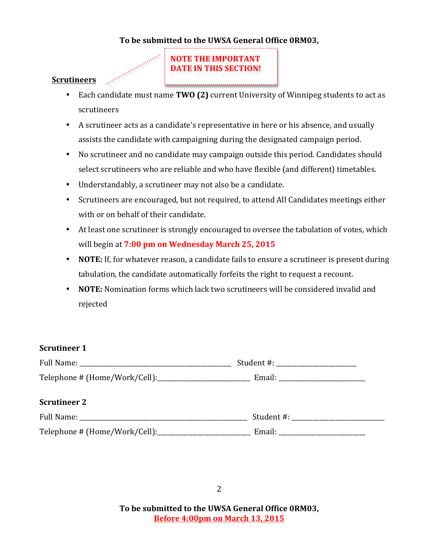#### To be submitted to the UWSA General Office ORM03,

# **NOTE THE IMPORTANT DATE IN THIS SECTION!**

#### **Scrutineers**

- Each candidate must name **TWO (2)** current University of Winnipeg students to act as scrutineers
- A scrutineer acts as a candidate's representative in here or his absence, and usually assists the candidate with campaigning during the designated campaign period.
- No scrutineer and no candidate may campaign outside this period. Candidates should select scrutineers who are reliable and who have flexible (and different) timetables.
- Understandably, a scrutineer may not also be a candidate.
- Scrutineers are encouraged, but not required, to attend All Candidates meetings either with or on behalf of their candidate.
- At least one scrutineer is strongly encouraged to oversee the tabulation of votes, which will begin at 7:00 pm on Wednesday March 25, 2015
- **NOTE:** If, for whatever reason, a candidate fails to ensure a scrutineer is present during tabulation, the candidate automatically forfeits the right to request a recount.
- **NOTE:** Nomination forms which lack two scrutineers will be considered invalid and rejected

#### **Scrutineer 1**

| Full Name:                     | Student #: |
|--------------------------------|------------|
| Telephone # (Home/Work/Cell):_ | Email:     |

#### **Scrutineer 2**

| Full Name:                    | Student #: |
|-------------------------------|------------|
| Telephone # (Home/Work/Cell): | Email:     |

To be submitted to the UWSA General Office ORM03, **Before 4:00pm on March 13, 2015**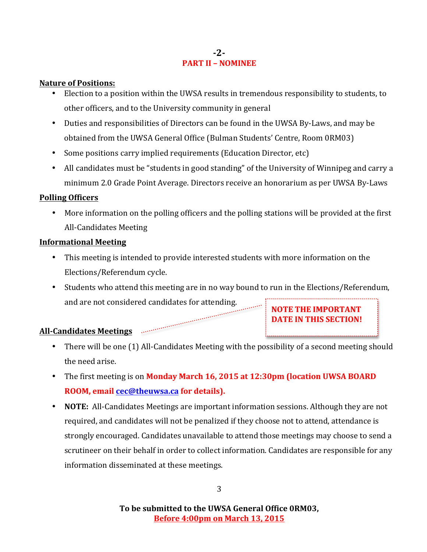### **-2- PART II – NOMINEE**

#### **Nature of Positions:**

- Election to a position within the UWSA results in tremendous responsibility to students, to other officers, and to the University community in general
- Duties and responsibilities of Directors can be found in the UWSA By-Laws, and may be obtained from the UWSA General Office (Bulman Students' Centre, Room 0RM03)
- Some positions carry implied requirements (Education Director, etc)
- All candidates must be "students in good standing" of the University of Winnipeg and carry a minimum 2.0 Grade Point Average. Directors receive an honorarium as per UWSA By-Laws

#### **Polling Officers**

• More information on the polling officers and the polling stations will be provided at the first All-Candidates Meeting

#### **Informational Meeting**

- This meeting is intended to provide interested students with more information on the Elections/Referendum cycle.
- Students who attend this meeting are in no way bound to run in the Elections/Referendum, and are not considered candidates for attending. **NOTE THE IMPORTANT**

**DATE IN THIS SECTION!** 

All-Candidates Meetings **Engineer Section** 

- There will be one (1) All-Candidates Meeting with the possibility of a second meeting should the need arise.
- The first meeting is on **Monday March 16, 2015 at 12:30pm (location UWSA BOARD ROOM, email cec@theuwsa.ca for details).**
- **NOTE:** All-Candidates Meetings are important information sessions. Although they are not required, and candidates will not be penalized if they choose not to attend, attendance is strongly encouraged. Candidates unavailable to attend those meetings may choose to send a scrutineer on their behalf in order to collect information. Candidates are responsible for any information disseminated at these meetings.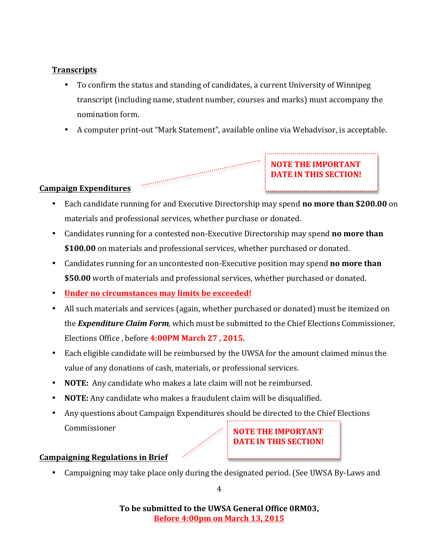## **Transcripts**

- To confirm the status and standing of candidates, a current University of Winnipeg transcript (including name, student number, courses and marks) must accompany the nomination form.
- A computer print-out "Mark Statement", available online via Webadvisor, is acceptable.

**NOTE THE IMPORTANT DATE IN THIS SECTION!** 



- Each candidate running for and Executive Directorship may spend **no more than \$200.00** on materials and professional services, whether purchase or donated.
- Candidates running for a contested non-Executive Directorship may spend **no more than** \$100.00 on materials and professional services, whether purchased or donated.
- Candidates running for an uncontested non-Executive position may spend **no more than** \$50.00 worth of materials and professional services, whether purchased or donated.
- Under no circumstances may limits be exceeded!

- All such materials and services (again, whether purchased or donated) must be itemized on the *Expenditure Claim Form*, which must be submitted to the Chief Elections Commissioner, Elections Office , before **4:00PM March 27 , 2015.**
- Each eligible candidate will be reimbursed by the UWSA for the amount claimed minus the value of any donations of cash, materials, or professional services.
- **NOTE:** Any candidate who makes a late claim will not be reimbursed.
- **NOTE:** Any candidate who makes a fraudulent claim will be disqualified.
- Any questions about Campaign Expenditures should be directed to the Chief Elections Commissioner **NOTE THE IMPORTANT**

## **Campaigning Regulations in Brief**

• Campaigning may take place only during the designated period. (See UWSA By-Laws and

**DATE IN THIS SECTION!** 

To be submitted to the UWSA General Office ORM03, **Before 4:00pm on March 13, 2015**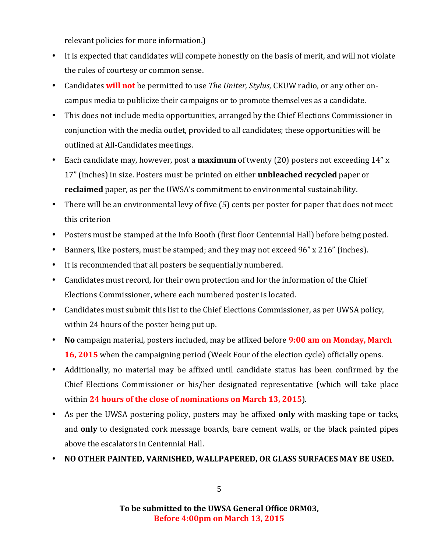relevant policies for more information.)

- It is expected that candidates will compete honestly on the basis of merit, and will not violate the rules of courtesy or common sense.
- Candidates **will not** be permitted to use *The Uniter, Stylus,* CKUW radio, or any other oncampus media to publicize their campaigns or to promote themselves as a candidate.
- This does not include media opportunities, arranged by the Chief Elections Commissioner in conjunction with the media outlet, provided to all candidates; these opportunities will be outlined at All-Candidates meetings.
- Each candidate may, however, post a **maximum** of twenty (20) posters not exceeding 14" x 17" (inches) in size. Posters must be printed on either **unbleached recycled** paper or **reclaimed** paper, as per the UWSA's commitment to environmental sustainability.
- There will be an environmental levy of five (5) cents per poster for paper that does not meet this criterion
- Posters must be stamped at the Info Booth (first floor Centennial Hall) before being posted.
- Banners, like posters, must be stamped; and they may not exceed 96" x 216" (inches).
- It is recommended that all posters be sequentially numbered.
- Candidates must record, for their own protection and for the information of the Chief Elections Commissioner, where each numbered poster is located.
- Candidates must submit this list to the Chief Elections Commissioner, as per UWSA policy, within 24 hours of the poster being put up.
- No campaign material, posters included, may be affixed before **9:00 am on Monday, March 16, 2015** when the campaigning period (Week Four of the election cycle) officially opens.
- Additionally, no material may be affixed until candidate status has been confirmed by the Chief Elections Commissioner or his/her designated representative (which will take place within 24 hours of the close of nominations on March 13, 2015).
- As per the UWSA postering policy, posters may be affixed **only** with masking tape or tacks, and **only** to designated cork message boards, bare cement walls, or the black painted pipes above the escalators in Centennial Hall.
- NO OTHER PAINTED, VARNISHED, WALLPAPERED, OR GLASS SURFACES MAY BE USED.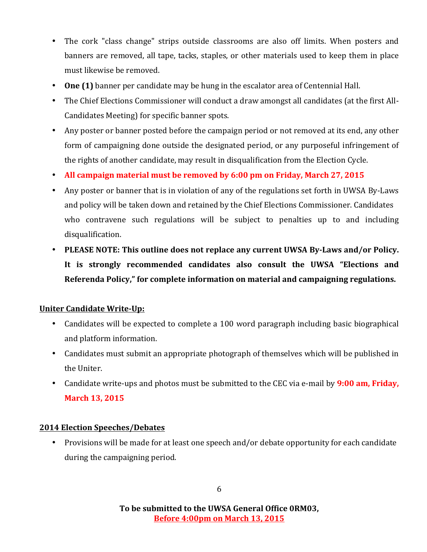- The cork "class change" strips outside classrooms are also off limits. When posters and banners are removed, all tape, tacks, staples, or other materials used to keep them in place must likewise be removed.
- One (1) banner per candidate may be hung in the escalator area of Centennial Hall.
- The Chief Elections Commissioner will conduct a draw amongst all candidates (at the first All-Candidates Meeting) for specific banner spots.
- Any poster or banner posted before the campaign period or not removed at its end, any other form of campaigning done outside the designated period, or any purposeful infringement of the rights of another candidate, may result in disqualification from the Election Cycle.
- All campaign material must be removed by 6:00 pm on Friday, March 27, 2015
- Any poster or banner that is in violation of any of the regulations set forth in UWSA By-Laws and policy will be taken down and retained by the Chief Elections Commissioner. Candidates who contravene such regulations will be subject to penalties up to and including disqualification.
- PLEASE NOTE: This outline does not replace any current UWSA By-Laws and/or Policy. It is strongly recommended candidates also consult the UWSA "Elections and **Referenda Policy,"** for complete information on material and campaigning regulations.

## **Uniter Candidate Write-Up:**

- Candidates will be expected to complete a 100 word paragraph including basic biographical and platform information.
- Candidates must submit an appropriate photograph of themselves which will be published in the Uniter.
- Candidate write-ups and photos must be submitted to the CEC via e-mail by **9:00 am, Friday, March 13, 2015**

## **2014 Election Speeches/Debates**

• Provisions will be made for at least one speech and/or debate opportunity for each candidate during the campaigning period.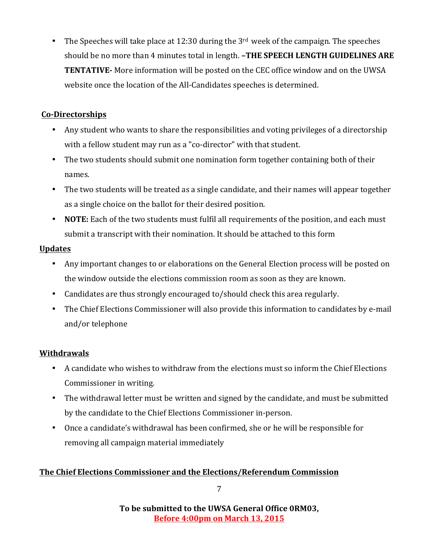• The Speeches will take place at 12:30 during the  $3<sup>rd</sup>$  week of the campaign. The speeches should be no more than 4 minutes total in length. **-THE SPEECH LENGTH GUIDELINES ARE TENTATIVE-** More information will be posted on the CEC office window and on the UWSA website once the location of the All-Candidates speeches is determined.

## **Co-Directorships**

- Any student who wants to share the responsibilities and voting privileges of a directorship with a fellow student may run as a "co-director" with that student.
- The two students should submit one nomination form together containing both of their names.
- The two students will be treated as a single candidate, and their names will appear together as a single choice on the ballot for their desired position.
- **NOTE:** Each of the two students must fulfil all requirements of the position, and each must submit a transcript with their nomination. It should be attached to this form

## **Updates**

- Any important changes to or elaborations on the General Election process will be posted on the window outside the elections commission room as soon as they are known.
- Candidates are thus strongly encouraged to/should check this area regularly.
- The Chief Elections Commissioner will also provide this information to candidates by e-mail and/or telephone

## **Withdrawals**

- A candidate who wishes to withdraw from the elections must so inform the Chief Elections Commissioner in writing.
- The withdrawal letter must be written and signed by the candidate, and must be submitted by the candidate to the Chief Elections Commissioner in-person.
- Once a candidate's withdrawal has been confirmed, she or he will be responsible for removing all campaign material immediately

## **The Chief Elections Commissioner and the Elections/Referendum Commission**

7

To be submitted to the UWSA General Office ORM03, **Before 4:00pm on March 13, 2015**